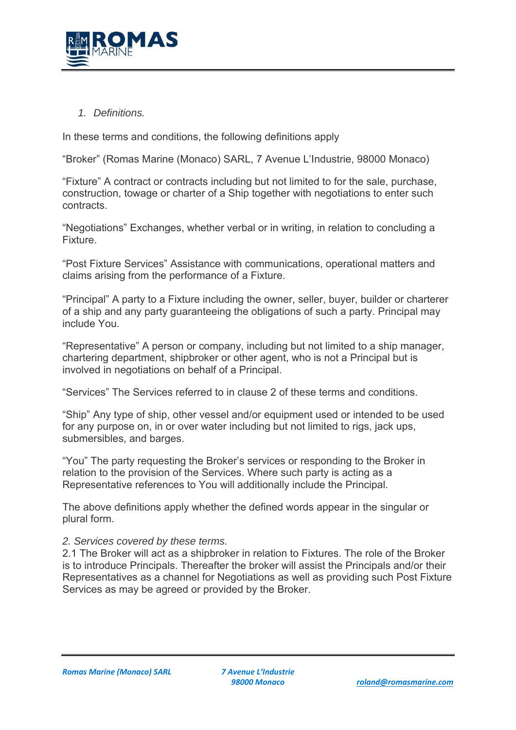

*1. Definitions.* 

In these terms and conditions, the following definitions apply

"Broker" (Romas Marine (Monaco) SARL, 7 Avenue L'Industrie, 98000 Monaco)

"Fixture" A contract or contracts including but not limited to for the sale, purchase, construction, towage or charter of a Ship together with negotiations to enter such contracts.

"Negotiations" Exchanges, whether verbal or in writing, in relation to concluding a Fixture.

"Post Fixture Services" Assistance with communications, operational matters and claims arising from the performance of a Fixture.

"Principal" A party to a Fixture including the owner, seller, buyer, builder or charterer of a ship and any party guaranteeing the obligations of such a party. Principal may include You.

"Representative" A person or company, including but not limited to a ship manager, chartering department, shipbroker or other agent, who is not a Principal but is involved in negotiations on behalf of a Principal.

"Services" The Services referred to in clause 2 of these terms and conditions.

"Ship" Any type of ship, other vessel and/or equipment used or intended to be used for any purpose on, in or over water including but not limited to rigs, jack ups, submersibles, and barges.

"You" The party requesting the Broker's services or responding to the Broker in relation to the provision of the Services. Where such party is acting as a Representative references to You will additionally include the Principal.

The above definitions apply whether the defined words appear in the singular or plural form.

*2. Services covered by these terms.*

2.1 The Broker will act as a shipbroker in relation to Fixtures. The role of the Broker is to introduce Principals. Thereafter the broker will assist the Principals and/or their Representatives as a channel for Negotiations as well as providing such Post Fixture Services as may be agreed or provided by the Broker.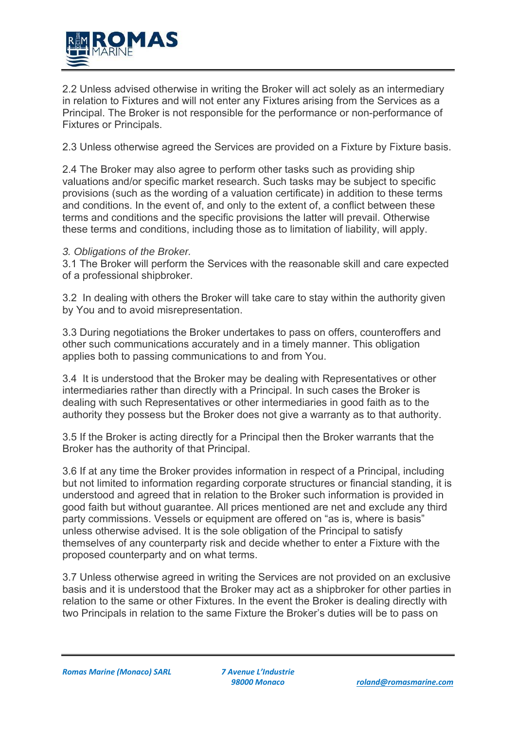

2.2 Unless advised otherwise in writing the Broker will act solely as an intermediary in relation to Fixtures and will not enter any Fixtures arising from the Services as a Principal. The Broker is not responsible for the performance or non-performance of Fixtures or Principals.

2.3 Unless otherwise agreed the Services are provided on a Fixture by Fixture basis.

2.4 The Broker may also agree to perform other tasks such as providing ship valuations and/or specific market research. Such tasks may be subject to specific provisions (such as the wording of a valuation certificate) in addition to these terms and conditions. In the event of, and only to the extent of, a conflict between these terms and conditions and the specific provisions the latter will prevail. Otherwise these terms and conditions, including those as to limitation of liability, will apply.

# *3. Obligations of the Broker.*

3.1 The Broker will perform the Services with the reasonable skill and care expected of a professional shipbroker.

3.2 In dealing with others the Broker will take care to stay within the authority given by You and to avoid misrepresentation.

3.3 During negotiations the Broker undertakes to pass on offers, counteroffers and other such communications accurately and in a timely manner. This obligation applies both to passing communications to and from You.

3.4 It is understood that the Broker may be dealing with Representatives or other intermediaries rather than directly with a Principal. In such cases the Broker is dealing with such Representatives or other intermediaries in good faith as to the authority they possess but the Broker does not give a warranty as to that authority.

3.5 If the Broker is acting directly for a Principal then the Broker warrants that the Broker has the authority of that Principal.

3.6 If at any time the Broker provides information in respect of a Principal, including but not limited to information regarding corporate structures or financial standing, it is understood and agreed that in relation to the Broker such information is provided in good faith but without guarantee. All prices mentioned are net and exclude any third party commissions. Vessels or equipment are offered on "as is, where is basis" unless otherwise advised. It is the sole obligation of the Principal to satisfy themselves of any counterparty risk and decide whether to enter a Fixture with the proposed counterparty and on what terms.

3.7 Unless otherwise agreed in writing the Services are not provided on an exclusive basis and it is understood that the Broker may act as a shipbroker for other parties in relation to the same or other Fixtures. In the event the Broker is dealing directly with two Principals in relation to the same Fixture the Broker's duties will be to pass on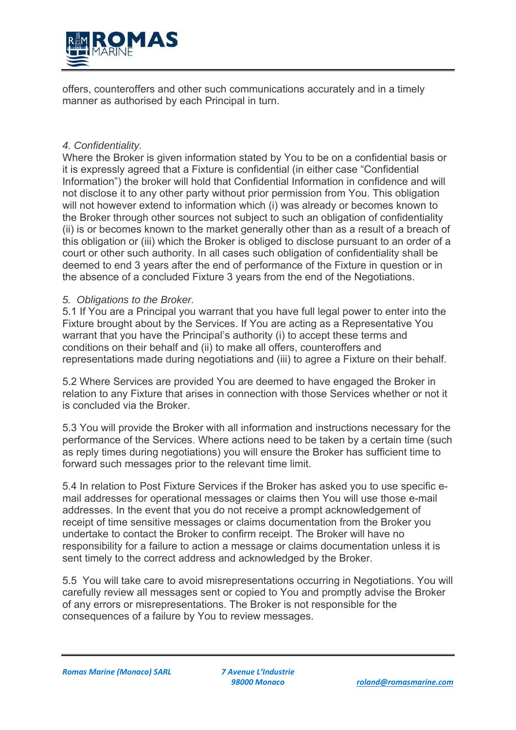

offers, counteroffers and other such communications accurately and in a timely manner as authorised by each Principal in turn.

## *4. Confidentiality.*

Where the Broker is given information stated by You to be on a confidential basis or it is expressly agreed that a Fixture is confidential (in either case "Confidential Information") the broker will hold that Confidential Information in confidence and will not disclose it to any other party without prior permission from You. This obligation will not however extend to information which (i) was already or becomes known to the Broker through other sources not subject to such an obligation of confidentiality (ii) is or becomes known to the market generally other than as a result of a breach of this obligation or (iii) which the Broker is obliged to disclose pursuant to an order of a court or other such authority. In all cases such obligation of confidentiality shall be deemed to end 3 years after the end of performance of the Fixture in question or in the absence of a concluded Fixture 3 years from the end of the Negotiations.

## *5. Obligations to the Broker.*

5.1 If You are a Principal you warrant that you have full legal power to enter into the Fixture brought about by the Services. If You are acting as a Representative You warrant that you have the Principal's authority (i) to accept these terms and conditions on their behalf and (ii) to make all offers, counteroffers and representations made during negotiations and (iii) to agree a Fixture on their behalf.

5.2 Where Services are provided You are deemed to have engaged the Broker in relation to any Fixture that arises in connection with those Services whether or not it is concluded via the Broker.

5.3 You will provide the Broker with all information and instructions necessary for the performance of the Services. Where actions need to be taken by a certain time (such as reply times during negotiations) you will ensure the Broker has sufficient time to forward such messages prior to the relevant time limit.

5.4 In relation to Post Fixture Services if the Broker has asked you to use specific email addresses for operational messages or claims then You will use those e-mail addresses. In the event that you do not receive a prompt acknowledgement of receipt of time sensitive messages or claims documentation from the Broker you undertake to contact the Broker to confirm receipt. The Broker will have no responsibility for a failure to action a message or claims documentation unless it is sent timely to the correct address and acknowledged by the Broker.

5.5 You will take care to avoid misrepresentations occurring in Negotiations. You will carefully review all messages sent or copied to You and promptly advise the Broker of any errors or misrepresentations. The Broker is not responsible for the consequences of a failure by You to review messages.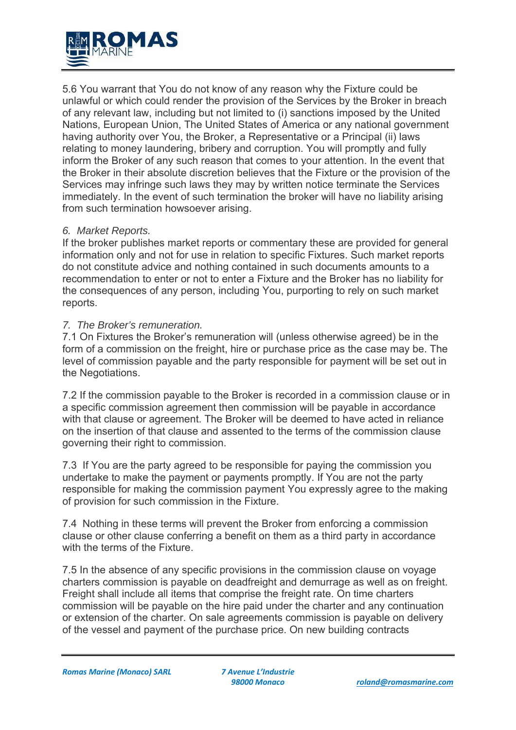

5.6 You warrant that You do not know of any reason why the Fixture could be unlawful or which could render the provision of the Services by the Broker in breach of any relevant law, including but not limited to (i) sanctions imposed by the United Nations, European Union, The United States of America or any national government having authority over You, the Broker, a Representative or a Principal (ii) laws relating to money laundering, bribery and corruption. You will promptly and fully inform the Broker of any such reason that comes to your attention. In the event that the Broker in their absolute discretion believes that the Fixture or the provision of the Services may infringe such laws they may by written notice terminate the Services immediately. In the event of such termination the broker will have no liability arising from such termination howsoever arising.

# *6. Market Reports.*

If the broker publishes market reports or commentary these are provided for general information only and not for use in relation to specific Fixtures. Such market reports do not constitute advice and nothing contained in such documents amounts to a recommendation to enter or not to enter a Fixture and the Broker has no liability for the consequences of any person, including You, purporting to rely on such market reports.

## *7. The Broker's remuneration.*

7.1 On Fixtures the Broker's remuneration will (unless otherwise agreed) be in the form of a commission on the freight, hire or purchase price as the case may be. The level of commission payable and the party responsible for payment will be set out in the Negotiations.

7.2 If the commission payable to the Broker is recorded in a commission clause or in a specific commission agreement then commission will be payable in accordance with that clause or agreement. The Broker will be deemed to have acted in reliance on the insertion of that clause and assented to the terms of the commission clause governing their right to commission.

7.3 If You are the party agreed to be responsible for paying the commission you undertake to make the payment or payments promptly. If You are not the party responsible for making the commission payment You expressly agree to the making of provision for such commission in the Fixture.

7.4 Nothing in these terms will prevent the Broker from enforcing a commission clause or other clause conferring a benefit on them as a third party in accordance with the terms of the Fixture.

7.5 In the absence of any specific provisions in the commission clause on voyage charters commission is payable on deadfreight and demurrage as well as on freight. Freight shall include all items that comprise the freight rate. On time charters commission will be payable on the hire paid under the charter and any continuation or extension of the charter. On sale agreements commission is payable on delivery of the vessel and payment of the purchase price. On new building contracts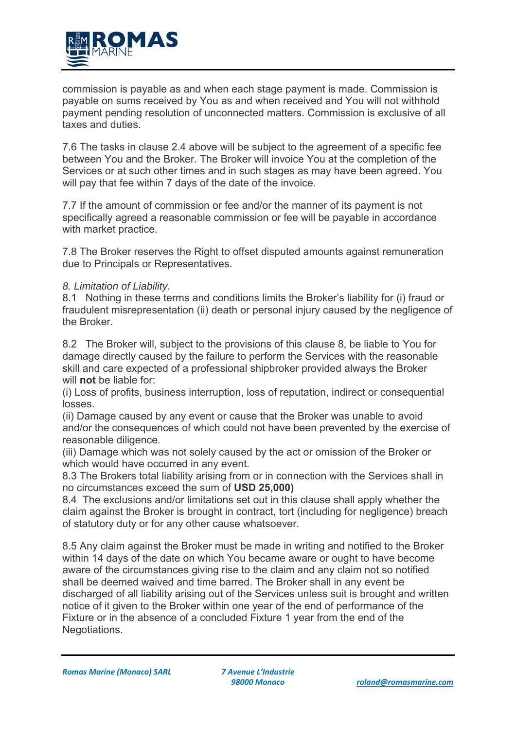

commission is payable as and when each stage payment is made. Commission is payable on sums received by You as and when received and You will not withhold payment pending resolution of unconnected matters. Commission is exclusive of all taxes and duties.

7.6 The tasks in clause 2.4 above will be subject to the agreement of a specific fee between You and the Broker. The Broker will invoice You at the completion of the Services or at such other times and in such stages as may have been agreed. You will pay that fee within 7 days of the date of the invoice.

7.7 If the amount of commission or fee and/or the manner of its payment is not specifically agreed a reasonable commission or fee will be payable in accordance with market practice.

7.8 The Broker reserves the Right to offset disputed amounts against remuneration due to Principals or Representatives.

# *8. Limitation of Liability.*

8.1 Nothing in these terms and conditions limits the Broker's liability for (i) fraud or fraudulent misrepresentation (ii) death or personal injury caused by the negligence of the Broker.

8.2 The Broker will, subject to the provisions of this clause 8, be liable to You for damage directly caused by the failure to perform the Services with the reasonable skill and care expected of a professional shipbroker provided always the Broker will **not** be liable for:

(i) Loss of profits, business interruption, loss of reputation, indirect or consequential losses.

(ii) Damage caused by any event or cause that the Broker was unable to avoid and/or the consequences of which could not have been prevented by the exercise of reasonable diligence.

(iii) Damage which was not solely caused by the act or omission of the Broker or which would have occurred in any event.

8.3 The Brokers total liability arising from or in connection with the Services shall in no circumstances exceed the sum of **USD 25,000)**

8.4 The exclusions and/or limitations set out in this clause shall apply whether the claim against the Broker is brought in contract, tort (including for negligence) breach of statutory duty or for any other cause whatsoever.

8.5 Any claim against the Broker must be made in writing and notified to the Broker within 14 days of the date on which You became aware or ought to have become aware of the circumstances giving rise to the claim and any claim not so notified shall be deemed waived and time barred. The Broker shall in any event be discharged of all liability arising out of the Services unless suit is brought and written notice of it given to the Broker within one year of the end of performance of the Fixture or in the absence of a concluded Fixture 1 year from the end of the Negotiations.